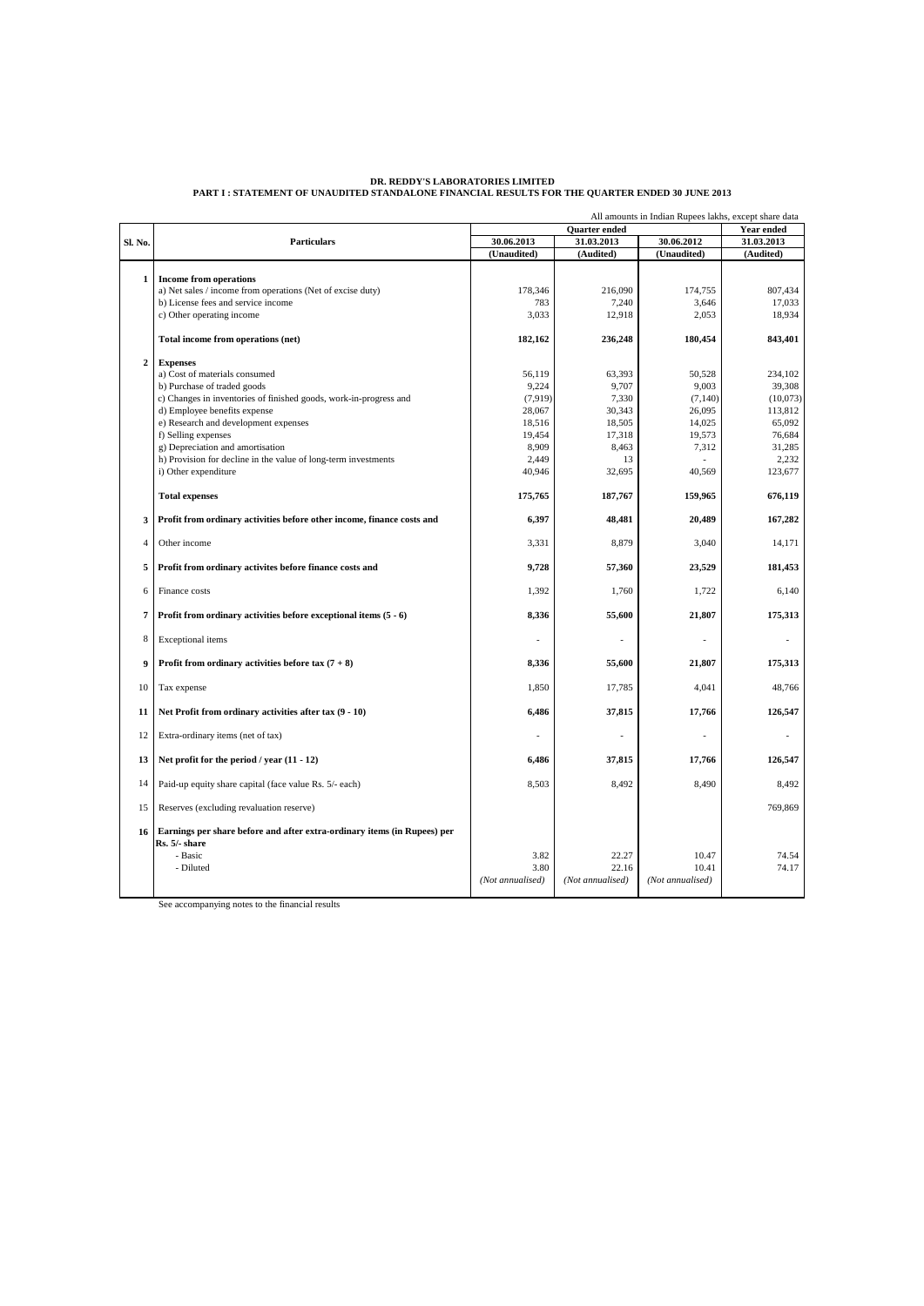|                |                                                                                                                   | All amounts in Indian Rupees lakhs, except share data |                  |                  |                |
|----------------|-------------------------------------------------------------------------------------------------------------------|-------------------------------------------------------|------------------|------------------|----------------|
| Sl. No.        | <b>Particulars</b>                                                                                                | Quarter ended                                         |                  |                  | Year ended     |
|                |                                                                                                                   | 30.06.2013                                            | 31.03.2013       | 30.06.2012       | 31.03.2013     |
|                |                                                                                                                   | (Unaudited)                                           | (Audited)        | (Unaudited)      | (Audited)      |
| 1              | <b>Income from operations</b>                                                                                     |                                                       |                  |                  |                |
|                | a) Net sales / income from operations (Net of excise duty)                                                        | 178.346                                               | 216,090          | 174,755          | 807.434        |
|                | b) License fees and service income                                                                                | 783                                                   | 7,240            | 3,646            | 17,033         |
|                | c) Other operating income                                                                                         | 3,033                                                 | 12,918           | 2.053            | 18,934         |
|                | Total income from operations (net)                                                                                | 182,162                                               | 236,248          | 180,454          | 843,401        |
| $\overline{2}$ | <b>Expenses</b>                                                                                                   |                                                       |                  |                  |                |
|                | a) Cost of materials consumed                                                                                     | 56,119                                                | 63,393           | 50,528           | 234,102        |
|                | b) Purchase of traded goods                                                                                       | 9,224                                                 | 9,707            | 9,003            | 39,308         |
|                | c) Changes in inventories of finished goods, work-in-progress and                                                 | (7,919)                                               | 7,330            | (7,140)          | (10,073)       |
|                | d) Employee benefits expense                                                                                      | 28,067                                                | 30,343           | 26,095           | 113,812        |
|                | e) Research and development expenses                                                                              | 18,516                                                | 18,505           | 14,025           | 65,092         |
|                | f) Selling expenses                                                                                               | 19,454                                                | 17.318           | 19,573           | 76,684         |
|                | g) Depreciation and amortisation                                                                                  | 8,909                                                 | 8,463            | 7,312            | 31,285         |
|                | h) Provision for decline in the value of long-term investments                                                    | 2,449                                                 | 13               |                  | 2,232          |
|                | i) Other expenditure                                                                                              | 40,946                                                | 32,695           | 40,569           | 123,677        |
|                | <b>Total expenses</b>                                                                                             | 175,765                                               | 187,767          | 159,965          | 676,119        |
| 3              | Profit from ordinary activities before other income, finance costs and                                            | 6,397                                                 | 48,481           | 20,489           | 167,282        |
| $\overline{4}$ | Other income                                                                                                      | 3,331                                                 | 8,879            | 3,040            | 14,171         |
| 5              | Profit from ordinary activites before finance costs and                                                           | 9,728                                                 | 57,360           | 23,529           | 181,453        |
| 6              | Finance costs                                                                                                     | 1,392                                                 | 1,760            | 1,722            | 6,140          |
| 7              | Profit from ordinary activities before exceptional items $(5 - 6)$                                                | 8,336                                                 | 55,600           | 21,807           | 175,313        |
| 8              | Exceptional items                                                                                                 |                                                       |                  |                  |                |
| 9              | Profit from ordinary activities before tax $(7 + 8)$                                                              | 8,336                                                 | 55,600           | 21,807           | 175,313        |
| 10             | Tax expense                                                                                                       | 1,850                                                 | 17,785           | 4.041            | 48,766         |
| 11             | Net Profit from ordinary activities after tax $(9 - 10)$                                                          | 6,486                                                 | 37,815           | 17,766           | 126,547        |
| 12             | Extra-ordinary items (net of tax)                                                                                 |                                                       |                  |                  |                |
| 13             | Net profit for the period / year $(11 - 12)$                                                                      | 6.486                                                 | 37,815           | 17,766           | 126,547        |
| 14             | Paid-up equity share capital (face value Rs. 5/- each)                                                            | 8,503                                                 | 8,492            | 8,490            | 8,492          |
| 15             | Reserves (excluding revaluation reserve)                                                                          |                                                       |                  |                  | 769,869        |
| 16             | Earnings per share before and after extra-ordinary items (in Rupees) per<br>Rs. 5/- share<br>- Basic<br>- Diluted | 3.82<br>3.80                                          | 22.27<br>22.16   | 10.47<br>10.41   | 74.54<br>74.17 |
|                |                                                                                                                   | (Not annualised)                                      | (Not annualised) | (Not annualised) |                |

# DR. REDDY'S LABORATORIES LIMITED<br>PART I : STATEMENT OF UNAUDITED STANDALONE FINANCIAL RESULTS FOR THE QUARTER ENDED 30 JUNE 2013

See accompanying notes to the financial results